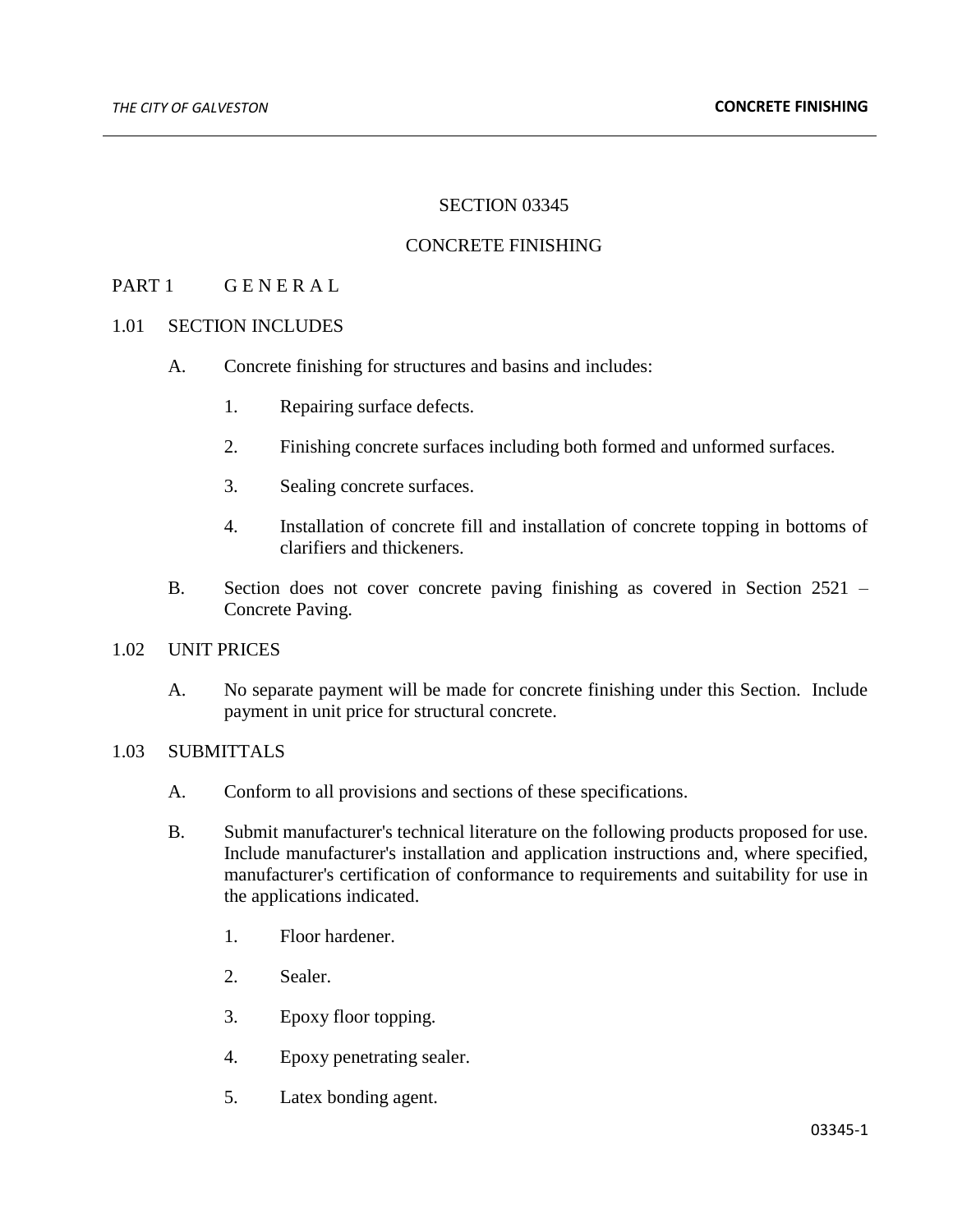## SECTION 03345

# CONCRETE FINISHING

## PART 1 GENERAL

## 1.01 SECTION INCLUDES

- A. Concrete finishing for structures and basins and includes:
	- 1. Repairing surface defects.
	- 2. Finishing concrete surfaces including both formed and unformed surfaces.
	- 3. Sealing concrete surfaces.
	- 4. Installation of concrete fill and installation of concrete topping in bottoms of clarifiers and thickeners.
- B. Section does not cover concrete paving finishing as covered in Section 2521 Concrete Paving.

## 1.02 UNIT PRICES

A. No separate payment will be made for concrete finishing under this Section. Include payment in unit price for structural concrete.

## 1.03 SUBMITTALS

- A. Conform to all provisions and sections of these specifications.
- B. Submit manufacturer's technical literature on the following products proposed for use. Include manufacturer's installation and application instructions and, where specified, manufacturer's certification of conformance to requirements and suitability for use in the applications indicated.
	- 1. Floor hardener.
	- 2. Sealer.
	- 3. Epoxy floor topping.
	- 4. Epoxy penetrating sealer.
	- 5. Latex bonding agent.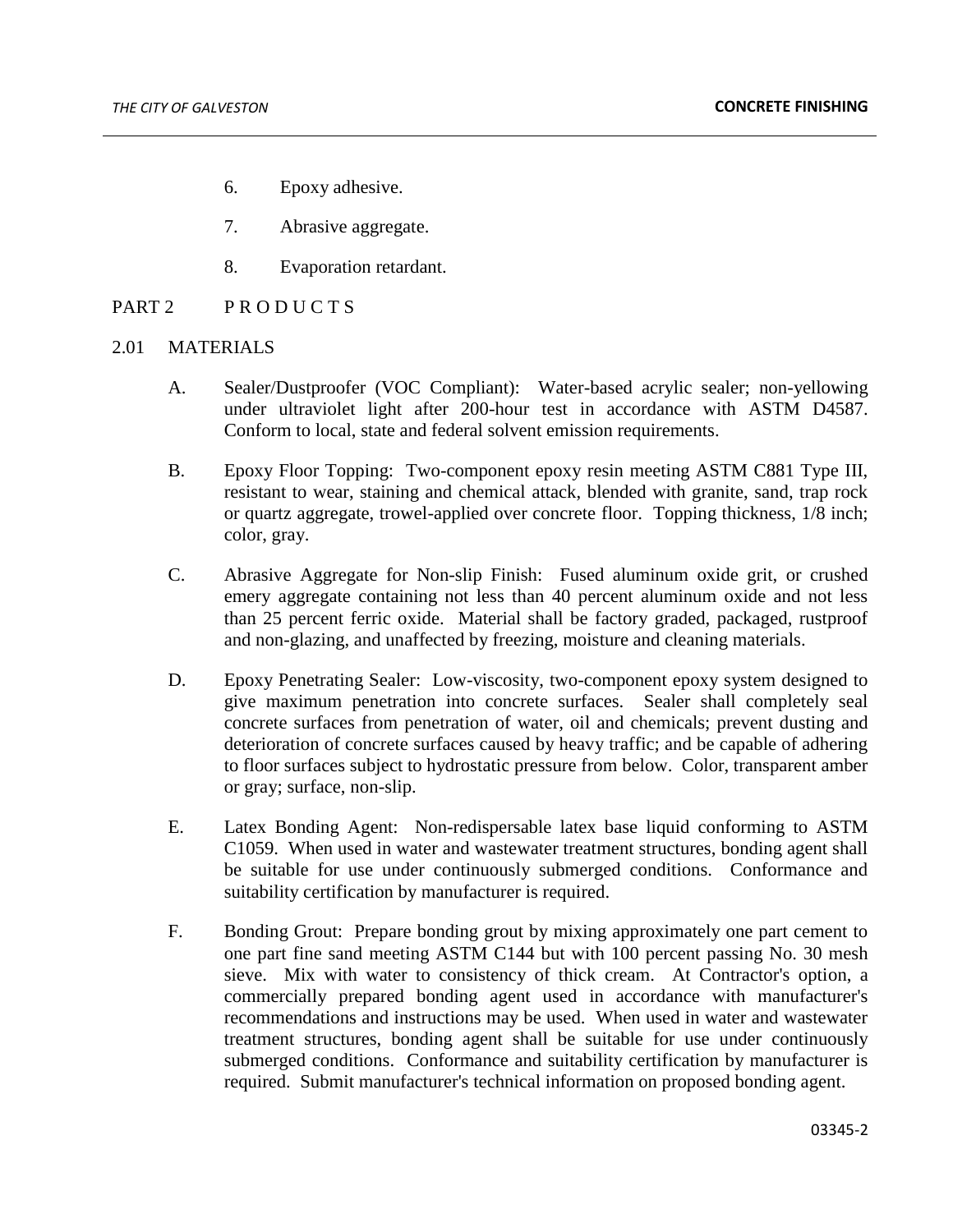- 6. Epoxy adhesive.
- 7. Abrasive aggregate.
- 8. Evaporation retardant.

# PART 2 PRODUCTS

### 2.01 MATERIALS

- A. Sealer/Dustproofer (VOC Compliant): Water-based acrylic sealer; non-yellowing under ultraviolet light after 200-hour test in accordance with ASTM D4587. Conform to local, state and federal solvent emission requirements.
- B. Epoxy Floor Topping: Two-component epoxy resin meeting ASTM C881 Type III, resistant to wear, staining and chemical attack, blended with granite, sand, trap rock or quartz aggregate, trowel-applied over concrete floor. Topping thickness, 1/8 inch; color, gray.
- C. Abrasive Aggregate for Non-slip Finish: Fused aluminum oxide grit, or crushed emery aggregate containing not less than 40 percent aluminum oxide and not less than 25 percent ferric oxide. Material shall be factory graded, packaged, rustproof and non-glazing, and unaffected by freezing, moisture and cleaning materials.
- D. Epoxy Penetrating Sealer: Low-viscosity, two-component epoxy system designed to give maximum penetration into concrete surfaces. Sealer shall completely seal concrete surfaces from penetration of water, oil and chemicals; prevent dusting and deterioration of concrete surfaces caused by heavy traffic; and be capable of adhering to floor surfaces subject to hydrostatic pressure from below. Color, transparent amber or gray; surface, non-slip.
- E. Latex Bonding Agent: Non-redispersable latex base liquid conforming to ASTM C1059. When used in water and wastewater treatment structures, bonding agent shall be suitable for use under continuously submerged conditions. Conformance and suitability certification by manufacturer is required.
- F. Bonding Grout: Prepare bonding grout by mixing approximately one part cement to one part fine sand meeting ASTM C144 but with 100 percent passing No. 30 mesh sieve. Mix with water to consistency of thick cream. At Contractor's option, a commercially prepared bonding agent used in accordance with manufacturer's recommendations and instructions may be used. When used in water and wastewater treatment structures, bonding agent shall be suitable for use under continuously submerged conditions. Conformance and suitability certification by manufacturer is required. Submit manufacturer's technical information on proposed bonding agent.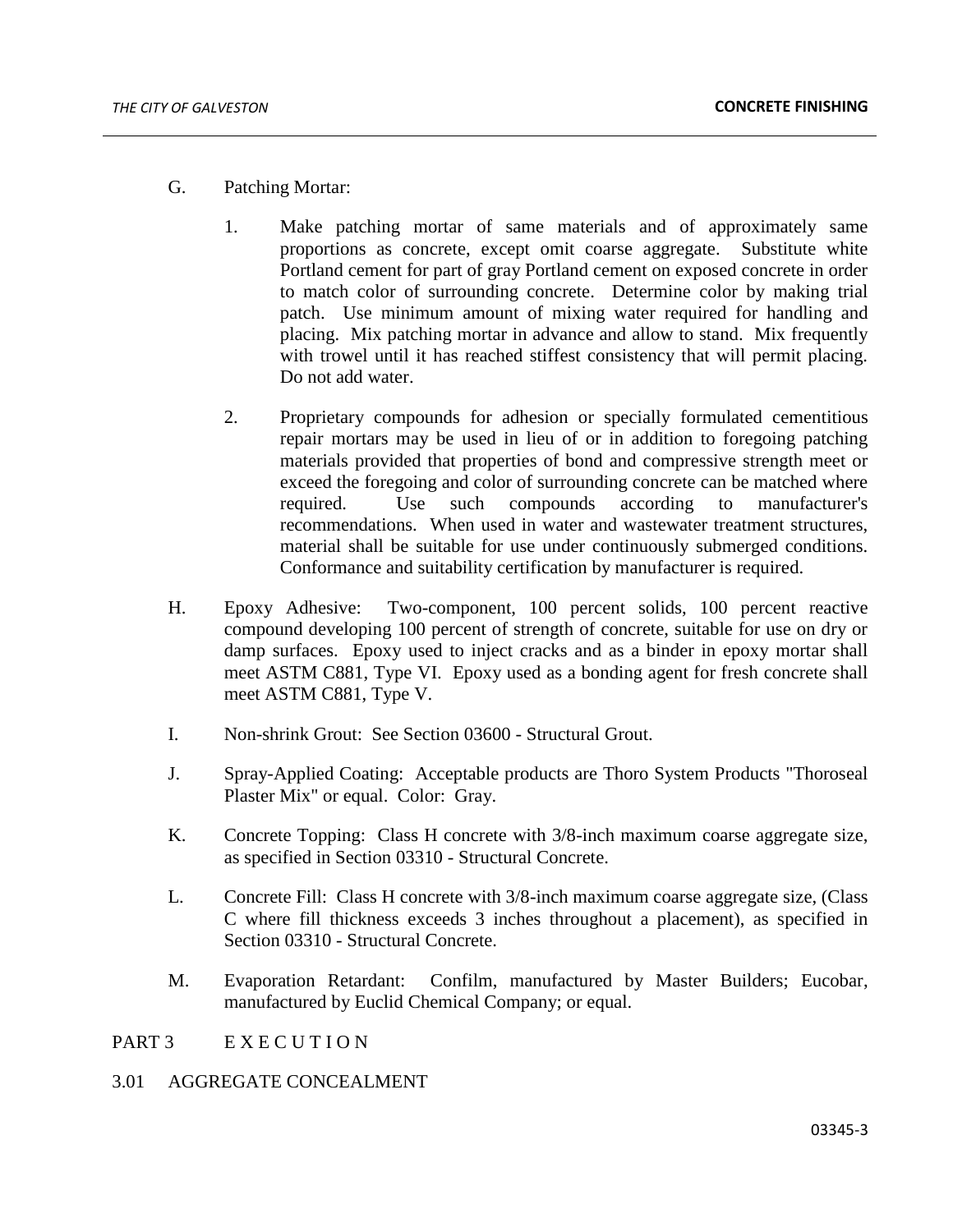- G. Patching Mortar:
	- 1. Make patching mortar of same materials and of approximately same proportions as concrete, except omit coarse aggregate. Substitute white Portland cement for part of gray Portland cement on exposed concrete in order to match color of surrounding concrete. Determine color by making trial patch. Use minimum amount of mixing water required for handling and placing. Mix patching mortar in advance and allow to stand. Mix frequently with trowel until it has reached stiffest consistency that will permit placing. Do not add water.
	- 2. Proprietary compounds for adhesion or specially formulated cementitious repair mortars may be used in lieu of or in addition to foregoing patching materials provided that properties of bond and compressive strength meet or exceed the foregoing and color of surrounding concrete can be matched where required. Use such compounds according to manufacturer's recommendations. When used in water and wastewater treatment structures, material shall be suitable for use under continuously submerged conditions. Conformance and suitability certification by manufacturer is required.
- H. Epoxy Adhesive: Two-component, 100 percent solids, 100 percent reactive compound developing 100 percent of strength of concrete, suitable for use on dry or damp surfaces. Epoxy used to inject cracks and as a binder in epoxy mortar shall meet ASTM C881, Type VI. Epoxy used as a bonding agent for fresh concrete shall meet ASTM C881, Type V.
- I. Non-shrink Grout: See Section 03600 Structural Grout.
- J. Spray-Applied Coating: Acceptable products are Thoro System Products "Thoroseal Plaster Mix" or equal. Color: Gray.
- K. Concrete Topping: Class H concrete with 3/8-inch maximum coarse aggregate size, as specified in Section 03310 - Structural Concrete.
- L. Concrete Fill: Class H concrete with 3/8-inch maximum coarse aggregate size, (Class C where fill thickness exceeds 3 inches throughout a placement), as specified in Section 03310 - Structural Concrete.
- M. Evaporation Retardant: Confilm, manufactured by Master Builders; Eucobar, manufactured by Euclid Chemical Company; or equal.

### PART 3 E X E C U T I O N

3.01 AGGREGATE CONCEALMENT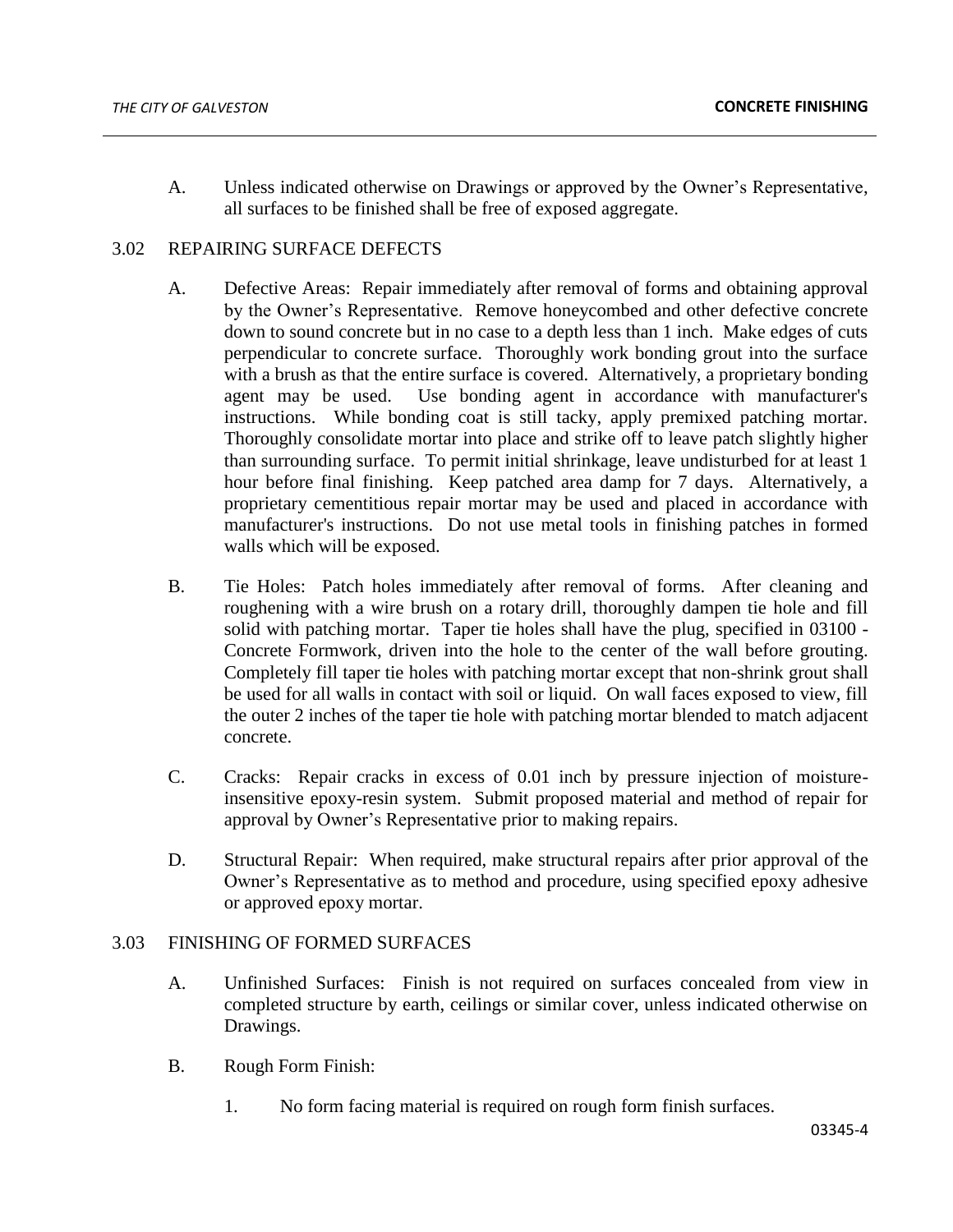A. Unless indicated otherwise on Drawings or approved by the Owner's Representative, all surfaces to be finished shall be free of exposed aggregate.

# 3.02 REPAIRING SURFACE DEFECTS

- A. Defective Areas: Repair immediately after removal of forms and obtaining approval by the Owner's Representative. Remove honeycombed and other defective concrete down to sound concrete but in no case to a depth less than 1 inch. Make edges of cuts perpendicular to concrete surface. Thoroughly work bonding grout into the surface with a brush as that the entire surface is covered. Alternatively, a proprietary bonding agent may be used. Use bonding agent in accordance with manufacturer's instructions. While bonding coat is still tacky, apply premixed patching mortar. Thoroughly consolidate mortar into place and strike off to leave patch slightly higher than surrounding surface. To permit initial shrinkage, leave undisturbed for at least 1 hour before final finishing. Keep patched area damp for 7 days. Alternatively, a proprietary cementitious repair mortar may be used and placed in accordance with manufacturer's instructions. Do not use metal tools in finishing patches in formed walls which will be exposed.
- B. Tie Holes: Patch holes immediately after removal of forms. After cleaning and roughening with a wire brush on a rotary drill, thoroughly dampen tie hole and fill solid with patching mortar. Taper tie holes shall have the plug, specified in 03100 - Concrete Formwork, driven into the hole to the center of the wall before grouting. Completely fill taper tie holes with patching mortar except that non-shrink grout shall be used for all walls in contact with soil or liquid. On wall faces exposed to view, fill the outer 2 inches of the taper tie hole with patching mortar blended to match adjacent concrete.
- C. Cracks: Repair cracks in excess of 0.01 inch by pressure injection of moistureinsensitive epoxy-resin system. Submit proposed material and method of repair for approval by Owner's Representative prior to making repairs.
- D. Structural Repair: When required, make structural repairs after prior approval of the Owner's Representative as to method and procedure, using specified epoxy adhesive or approved epoxy mortar.

# 3.03 FINISHING OF FORMED SURFACES

- A. Unfinished Surfaces: Finish is not required on surfaces concealed from view in completed structure by earth, ceilings or similar cover, unless indicated otherwise on Drawings.
- B. Rough Form Finish:
	- 1. No form facing material is required on rough form finish surfaces.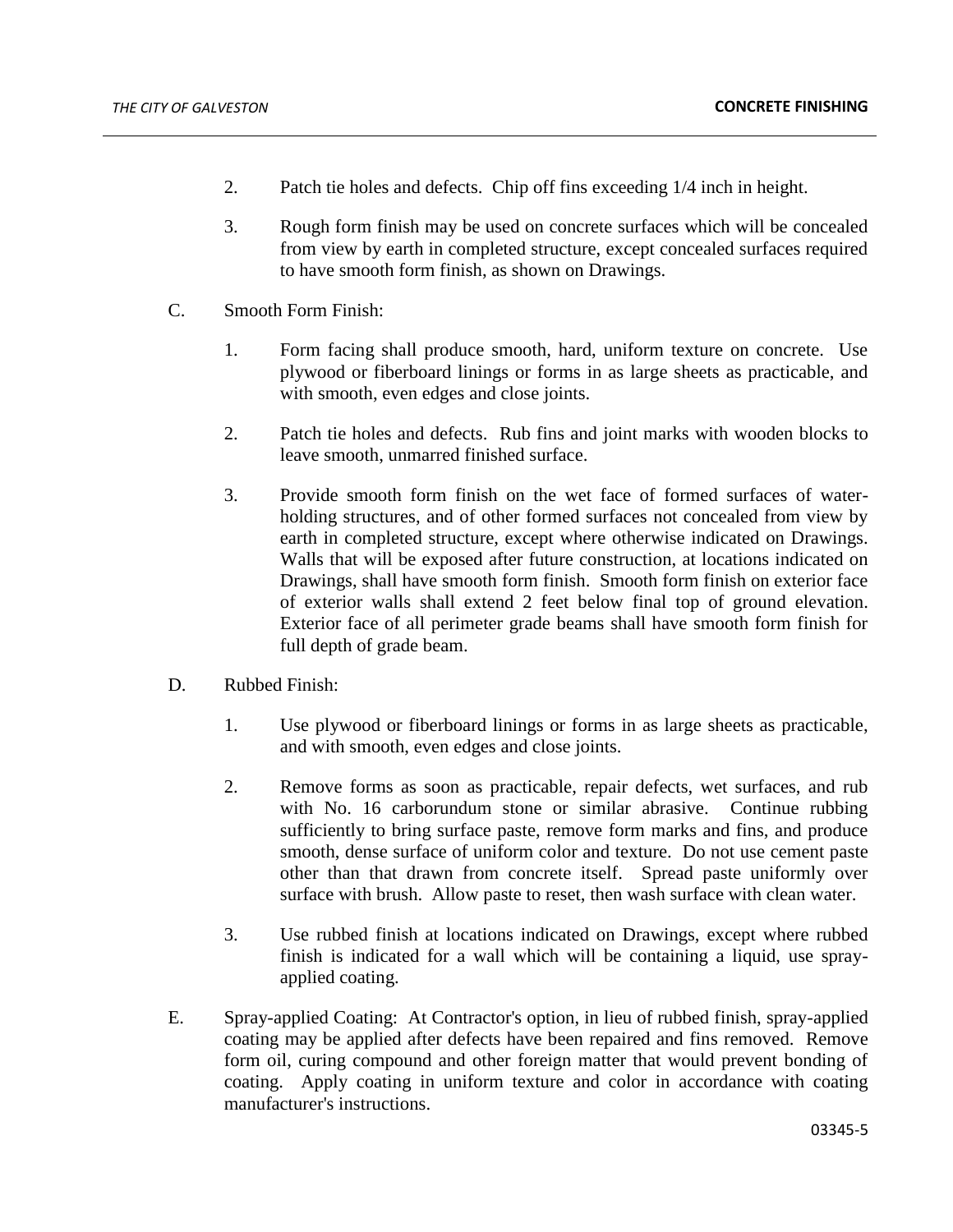- 2. Patch tie holes and defects. Chip off fins exceeding 1/4 inch in height.
- 3. Rough form finish may be used on concrete surfaces which will be concealed from view by earth in completed structure, except concealed surfaces required to have smooth form finish, as shown on Drawings.
- C. Smooth Form Finish:
	- 1. Form facing shall produce smooth, hard, uniform texture on concrete. Use plywood or fiberboard linings or forms in as large sheets as practicable, and with smooth, even edges and close joints.
	- 2. Patch tie holes and defects. Rub fins and joint marks with wooden blocks to leave smooth, unmarred finished surface.
	- 3. Provide smooth form finish on the wet face of formed surfaces of waterholding structures, and of other formed surfaces not concealed from view by earth in completed structure, except where otherwise indicated on Drawings. Walls that will be exposed after future construction, at locations indicated on Drawings, shall have smooth form finish. Smooth form finish on exterior face of exterior walls shall extend 2 feet below final top of ground elevation. Exterior face of all perimeter grade beams shall have smooth form finish for full depth of grade beam.
- D. Rubbed Finish:
	- 1. Use plywood or fiberboard linings or forms in as large sheets as practicable, and with smooth, even edges and close joints.
	- 2. Remove forms as soon as practicable, repair defects, wet surfaces, and rub with No. 16 carborundum stone or similar abrasive. Continue rubbing sufficiently to bring surface paste, remove form marks and fins, and produce smooth, dense surface of uniform color and texture. Do not use cement paste other than that drawn from concrete itself. Spread paste uniformly over surface with brush. Allow paste to reset, then wash surface with clean water.
	- 3. Use rubbed finish at locations indicated on Drawings, except where rubbed finish is indicated for a wall which will be containing a liquid, use sprayapplied coating.
- E. Spray-applied Coating: At Contractor's option, in lieu of rubbed finish, spray-applied coating may be applied after defects have been repaired and fins removed. Remove form oil, curing compound and other foreign matter that would prevent bonding of coating. Apply coating in uniform texture and color in accordance with coating manufacturer's instructions.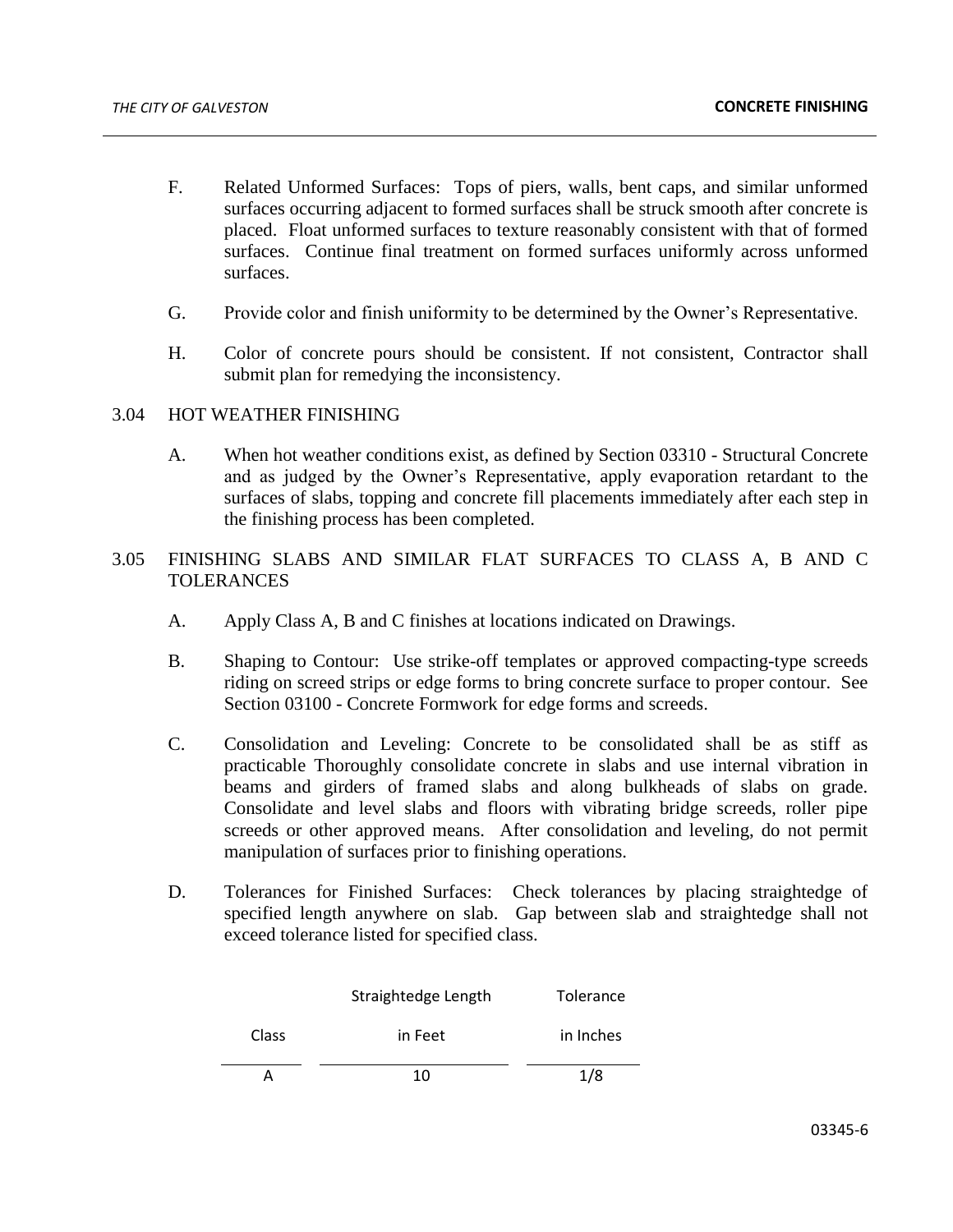- F. Related Unformed Surfaces: Tops of piers, walls, bent caps, and similar unformed surfaces occurring adjacent to formed surfaces shall be struck smooth after concrete is placed. Float unformed surfaces to texture reasonably consistent with that of formed surfaces. Continue final treatment on formed surfaces uniformly across unformed surfaces.
- G. Provide color and finish uniformity to be determined by the Owner's Representative.
- H. Color of concrete pours should be consistent. If not consistent, Contractor shall submit plan for remedying the inconsistency.

### 3.04 HOT WEATHER FINISHING

A. When hot weather conditions exist, as defined by Section 03310 - Structural Concrete and as judged by the Owner's Representative, apply evaporation retardant to the surfaces of slabs, topping and concrete fill placements immediately after each step in the finishing process has been completed.

# 3.05 FINISHING SLABS AND SIMILAR FLAT SURFACES TO CLASS A, B AND C TOLERANCES

- A. Apply Class A, B and C finishes at locations indicated on Drawings.
- B. Shaping to Contour: Use strike-off templates or approved compacting-type screeds riding on screed strips or edge forms to bring concrete surface to proper contour. See Section 03100 - Concrete Formwork for edge forms and screeds.
- C. Consolidation and Leveling: Concrete to be consolidated shall be as stiff as practicable Thoroughly consolidate concrete in slabs and use internal vibration in beams and girders of framed slabs and along bulkheads of slabs on grade. Consolidate and level slabs and floors with vibrating bridge screeds, roller pipe screeds or other approved means. After consolidation and leveling, do not permit manipulation of surfaces prior to finishing operations.
- D. Tolerances for Finished Surfaces: Check tolerances by placing straightedge of specified length anywhere on slab. Gap between slab and straightedge shall not exceed tolerance listed for specified class.

|              | Straightedge Length | <b>Tolerance</b> |
|--------------|---------------------|------------------|
| <b>Class</b> | in Feet             | in Inches        |
|              | 10                  | 1/8              |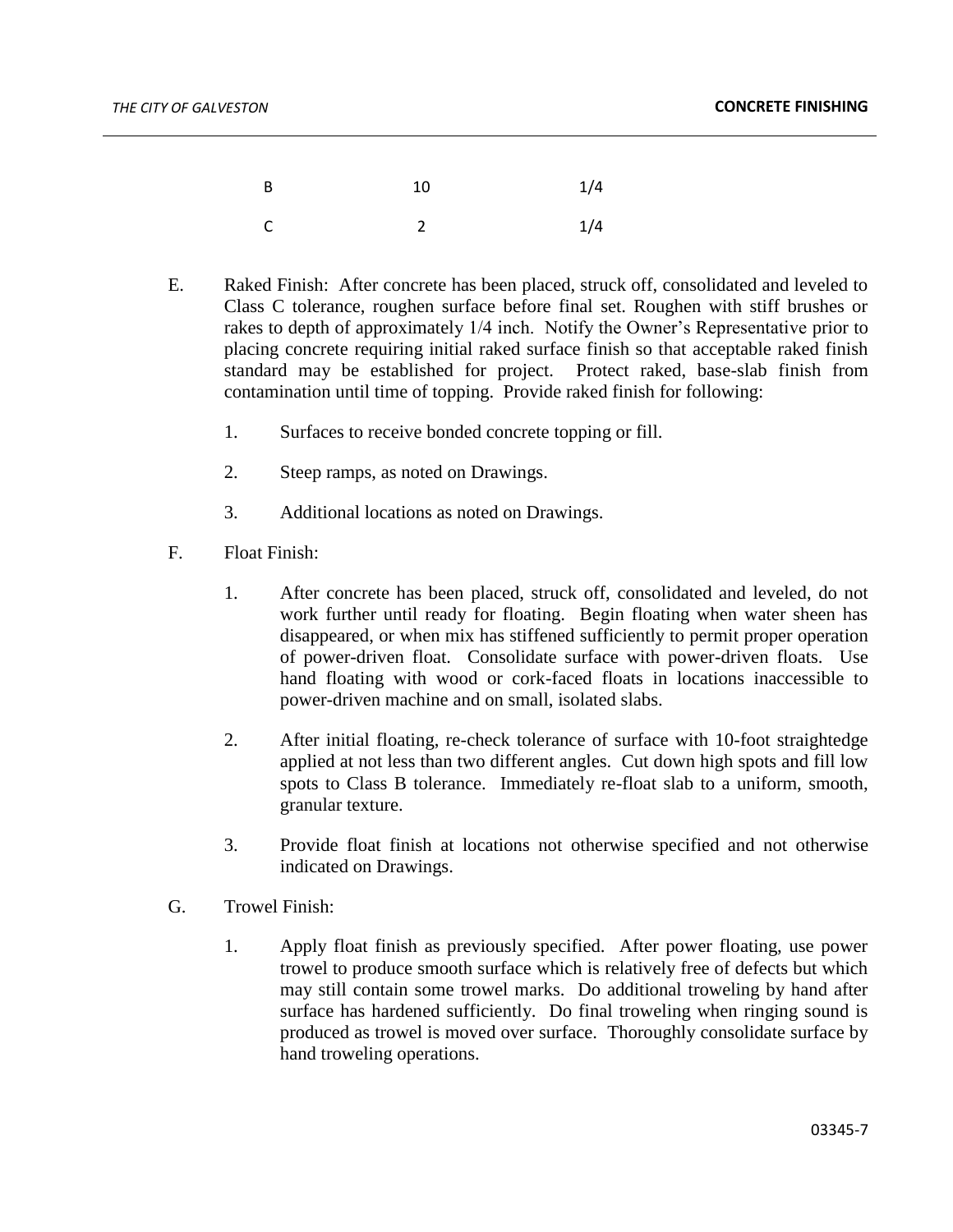| $\overline{B}$          | 10             | 1/4 |
|-------------------------|----------------|-----|
| $\overline{\mathsf{C}}$ | $\overline{2}$ | 1/4 |

- E. Raked Finish: After concrete has been placed, struck off, consolidated and leveled to Class C tolerance, roughen surface before final set. Roughen with stiff brushes or rakes to depth of approximately 1/4 inch. Notify the Owner's Representative prior to placing concrete requiring initial raked surface finish so that acceptable raked finish standard may be established for project. Protect raked, base-slab finish from contamination until time of topping. Provide raked finish for following:
	- 1. Surfaces to receive bonded concrete topping or fill.
	- 2. Steep ramps, as noted on Drawings.
	- 3. Additional locations as noted on Drawings.
- F. Float Finish:
	- 1. After concrete has been placed, struck off, consolidated and leveled, do not work further until ready for floating. Begin floating when water sheen has disappeared, or when mix has stiffened sufficiently to permit proper operation of power-driven float. Consolidate surface with power-driven floats. Use hand floating with wood or cork-faced floats in locations inaccessible to power-driven machine and on small, isolated slabs.
	- 2. After initial floating, re-check tolerance of surface with 10-foot straightedge applied at not less than two different angles. Cut down high spots and fill low spots to Class B tolerance. Immediately re-float slab to a uniform, smooth, granular texture.
	- 3. Provide float finish at locations not otherwise specified and not otherwise indicated on Drawings.
- G. Trowel Finish:
	- 1. Apply float finish as previously specified. After power floating, use power trowel to produce smooth surface which is relatively free of defects but which may still contain some trowel marks. Do additional troweling by hand after surface has hardened sufficiently. Do final troweling when ringing sound is produced as trowel is moved over surface. Thoroughly consolidate surface by hand troweling operations.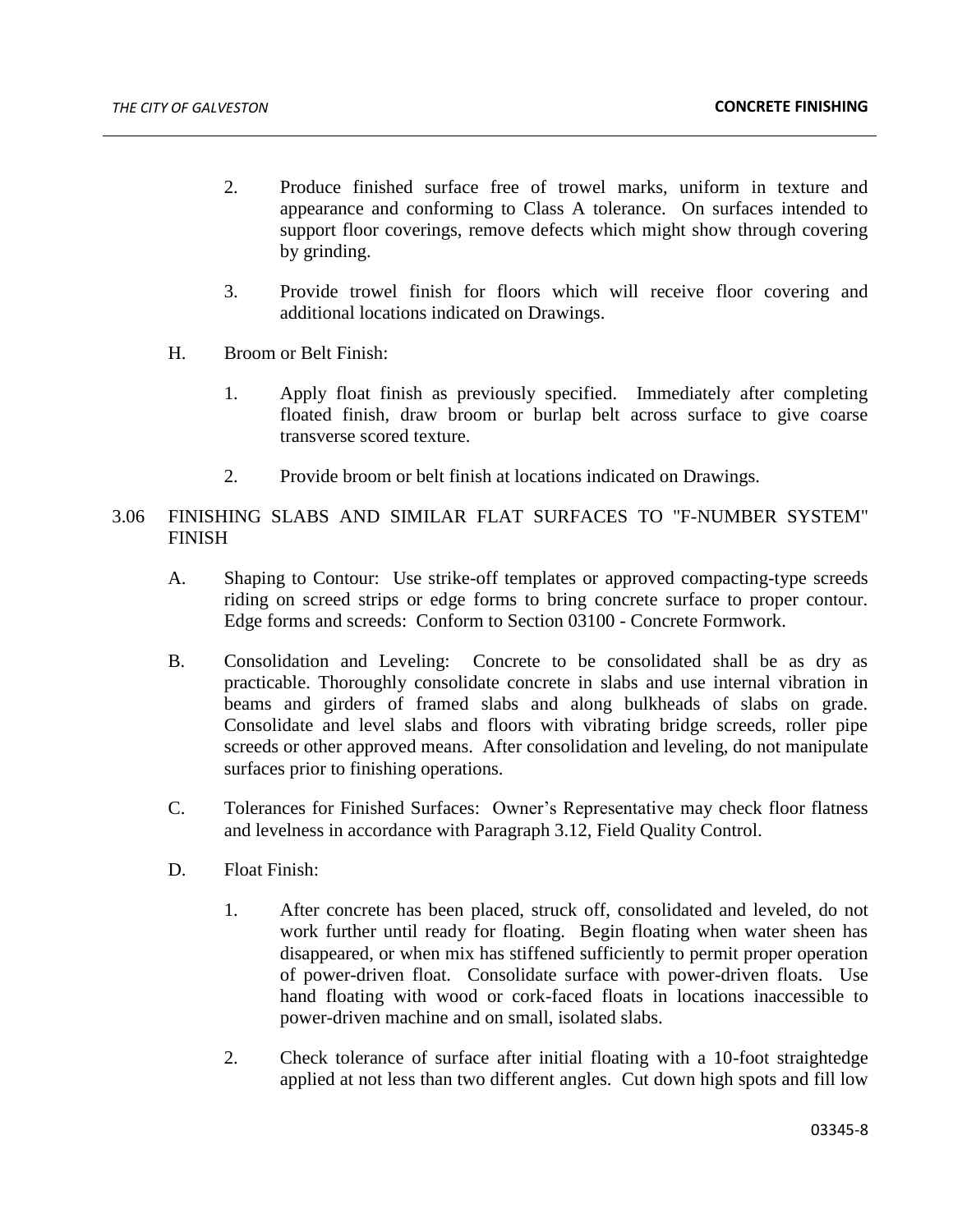- 2. Produce finished surface free of trowel marks, uniform in texture and appearance and conforming to Class A tolerance. On surfaces intended to support floor coverings, remove defects which might show through covering by grinding.
- 3. Provide trowel finish for floors which will receive floor covering and additional locations indicated on Drawings.
- H. Broom or Belt Finish:
	- 1. Apply float finish as previously specified. Immediately after completing floated finish, draw broom or burlap belt across surface to give coarse transverse scored texture.
	- 2. Provide broom or belt finish at locations indicated on Drawings.

# 3.06 FINISHING SLABS AND SIMILAR FLAT SURFACES TO "F-NUMBER SYSTEM" **FINISH**

- A. Shaping to Contour: Use strike-off templates or approved compacting-type screeds riding on screed strips or edge forms to bring concrete surface to proper contour. Edge forms and screeds: Conform to Section 03100 - Concrete Formwork.
- B. Consolidation and Leveling: Concrete to be consolidated shall be as dry as practicable. Thoroughly consolidate concrete in slabs and use internal vibration in beams and girders of framed slabs and along bulkheads of slabs on grade. Consolidate and level slabs and floors with vibrating bridge screeds, roller pipe screeds or other approved means. After consolidation and leveling, do not manipulate surfaces prior to finishing operations.
- C. Tolerances for Finished Surfaces: Owner's Representative may check floor flatness and levelness in accordance with Paragraph 3.12, Field Quality Control.
- D. Float Finish:
	- 1. After concrete has been placed, struck off, consolidated and leveled, do not work further until ready for floating. Begin floating when water sheen has disappeared, or when mix has stiffened sufficiently to permit proper operation of power-driven float. Consolidate surface with power-driven floats. Use hand floating with wood or cork-faced floats in locations inaccessible to power-driven machine and on small, isolated slabs.
	- 2. Check tolerance of surface after initial floating with a 10-foot straightedge applied at not less than two different angles. Cut down high spots and fill low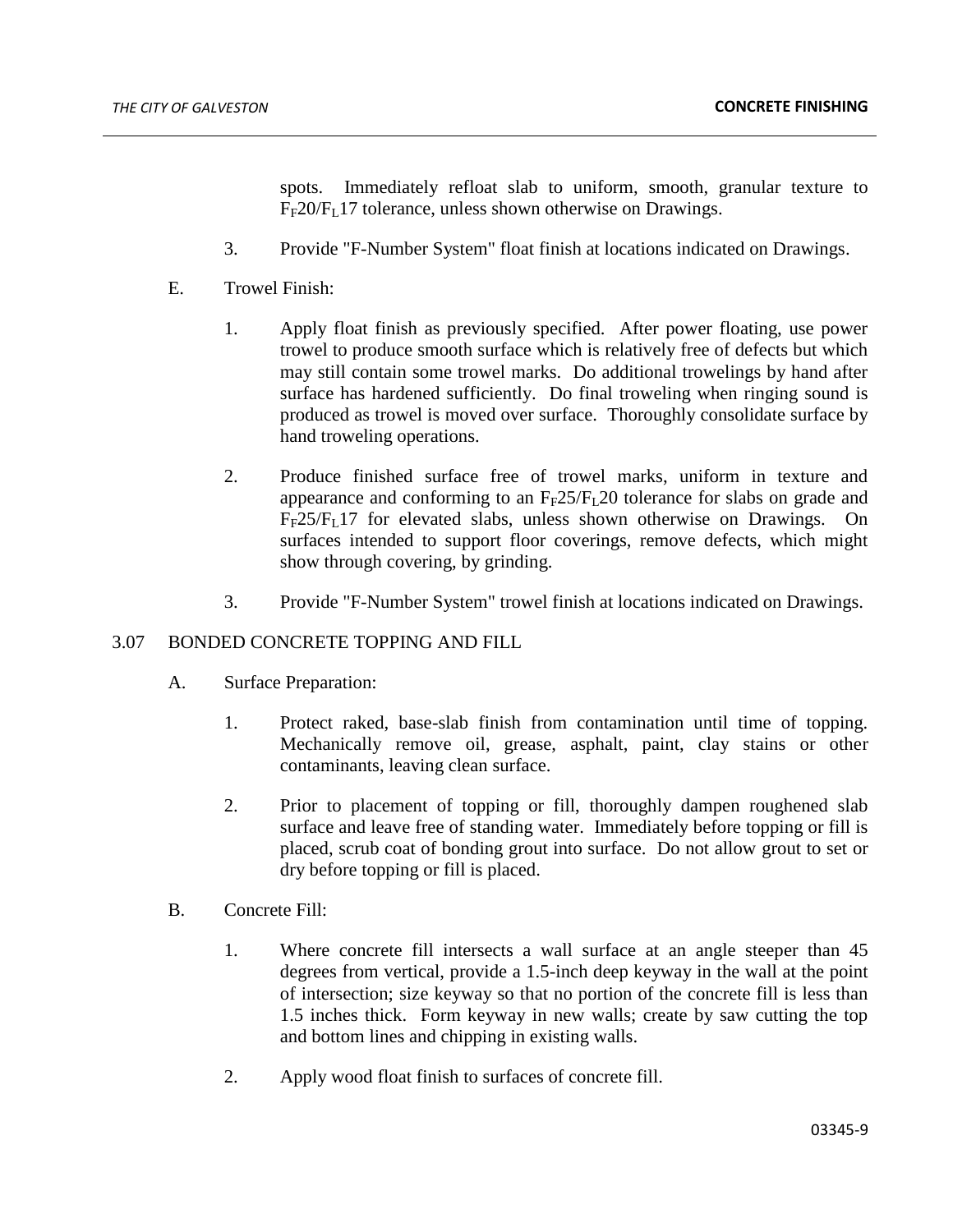spots. Immediately refloat slab to uniform, smooth, granular texture to  $F_{F20}/F_{I}$  17 tolerance, unless shown otherwise on Drawings.

- 3. Provide "F-Number System" float finish at locations indicated on Drawings.
- E. Trowel Finish:
	- 1. Apply float finish as previously specified. After power floating, use power trowel to produce smooth surface which is relatively free of defects but which may still contain some trowel marks. Do additional trowelings by hand after surface has hardened sufficiently. Do final troweling when ringing sound is produced as trowel is moved over surface. Thoroughly consolidate surface by hand troweling operations.
	- 2. Produce finished surface free of trowel marks, uniform in texture and appearance and conforming to an  $F_F25/F_L20$  tolerance for slabs on grade and  $F_F25/F_L17$  for elevated slabs, unless shown otherwise on Drawings. On surfaces intended to support floor coverings, remove defects, which might show through covering, by grinding.
	- 3. Provide "F-Number System" trowel finish at locations indicated on Drawings.

### 3.07 BONDED CONCRETE TOPPING AND FILL

- A. Surface Preparation:
	- 1. Protect raked, base-slab finish from contamination until time of topping. Mechanically remove oil, grease, asphalt, paint, clay stains or other contaminants, leaving clean surface.
	- 2. Prior to placement of topping or fill, thoroughly dampen roughened slab surface and leave free of standing water. Immediately before topping or fill is placed, scrub coat of bonding grout into surface. Do not allow grout to set or dry before topping or fill is placed.
- B. Concrete Fill:
	- 1. Where concrete fill intersects a wall surface at an angle steeper than 45 degrees from vertical, provide a 1.5-inch deep keyway in the wall at the point of intersection; size keyway so that no portion of the concrete fill is less than 1.5 inches thick. Form keyway in new walls; create by saw cutting the top and bottom lines and chipping in existing walls.
	- 2. Apply wood float finish to surfaces of concrete fill.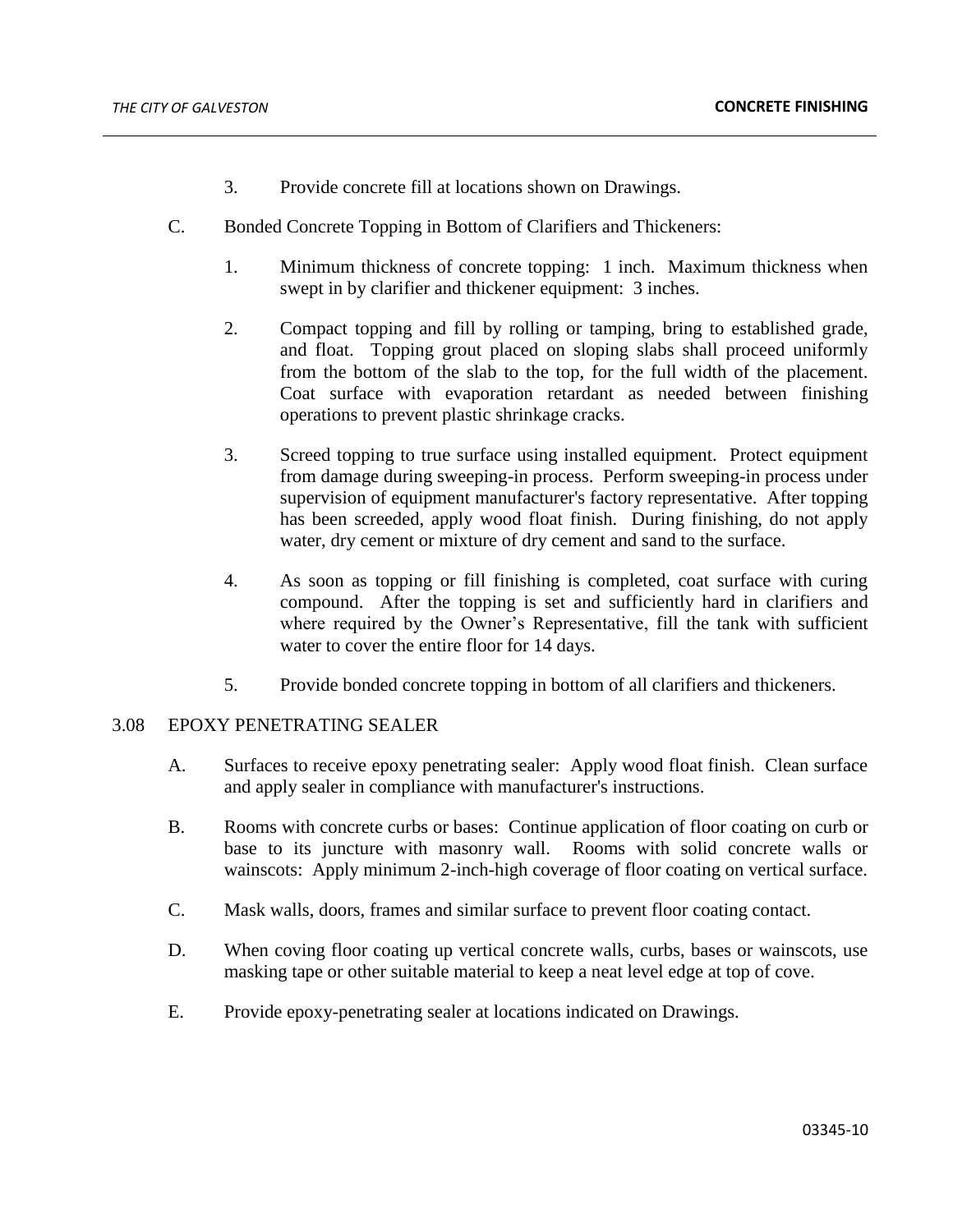- 3. Provide concrete fill at locations shown on Drawings.
- C. Bonded Concrete Topping in Bottom of Clarifiers and Thickeners:
	- 1. Minimum thickness of concrete topping: 1 inch. Maximum thickness when swept in by clarifier and thickener equipment: 3 inches.
	- 2. Compact topping and fill by rolling or tamping, bring to established grade, and float. Topping grout placed on sloping slabs shall proceed uniformly from the bottom of the slab to the top, for the full width of the placement. Coat surface with evaporation retardant as needed between finishing operations to prevent plastic shrinkage cracks.
	- 3. Screed topping to true surface using installed equipment. Protect equipment from damage during sweeping-in process. Perform sweeping-in process under supervision of equipment manufacturer's factory representative. After topping has been screeded, apply wood float finish. During finishing, do not apply water, dry cement or mixture of dry cement and sand to the surface.
	- 4. As soon as topping or fill finishing is completed, coat surface with curing compound. After the topping is set and sufficiently hard in clarifiers and where required by the Owner's Representative, fill the tank with sufficient water to cover the entire floor for 14 days.
	- 5. Provide bonded concrete topping in bottom of all clarifiers and thickeners.

### 3.08 EPOXY PENETRATING SEALER

- A. Surfaces to receive epoxy penetrating sealer: Apply wood float finish. Clean surface and apply sealer in compliance with manufacturer's instructions.
- B. Rooms with concrete curbs or bases: Continue application of floor coating on curb or base to its juncture with masonry wall. Rooms with solid concrete walls or wainscots: Apply minimum 2-inch-high coverage of floor coating on vertical surface.
- C. Mask walls, doors, frames and similar surface to prevent floor coating contact.
- D. When coving floor coating up vertical concrete walls, curbs, bases or wainscots, use masking tape or other suitable material to keep a neat level edge at top of cove.
- E. Provide epoxy-penetrating sealer at locations indicated on Drawings.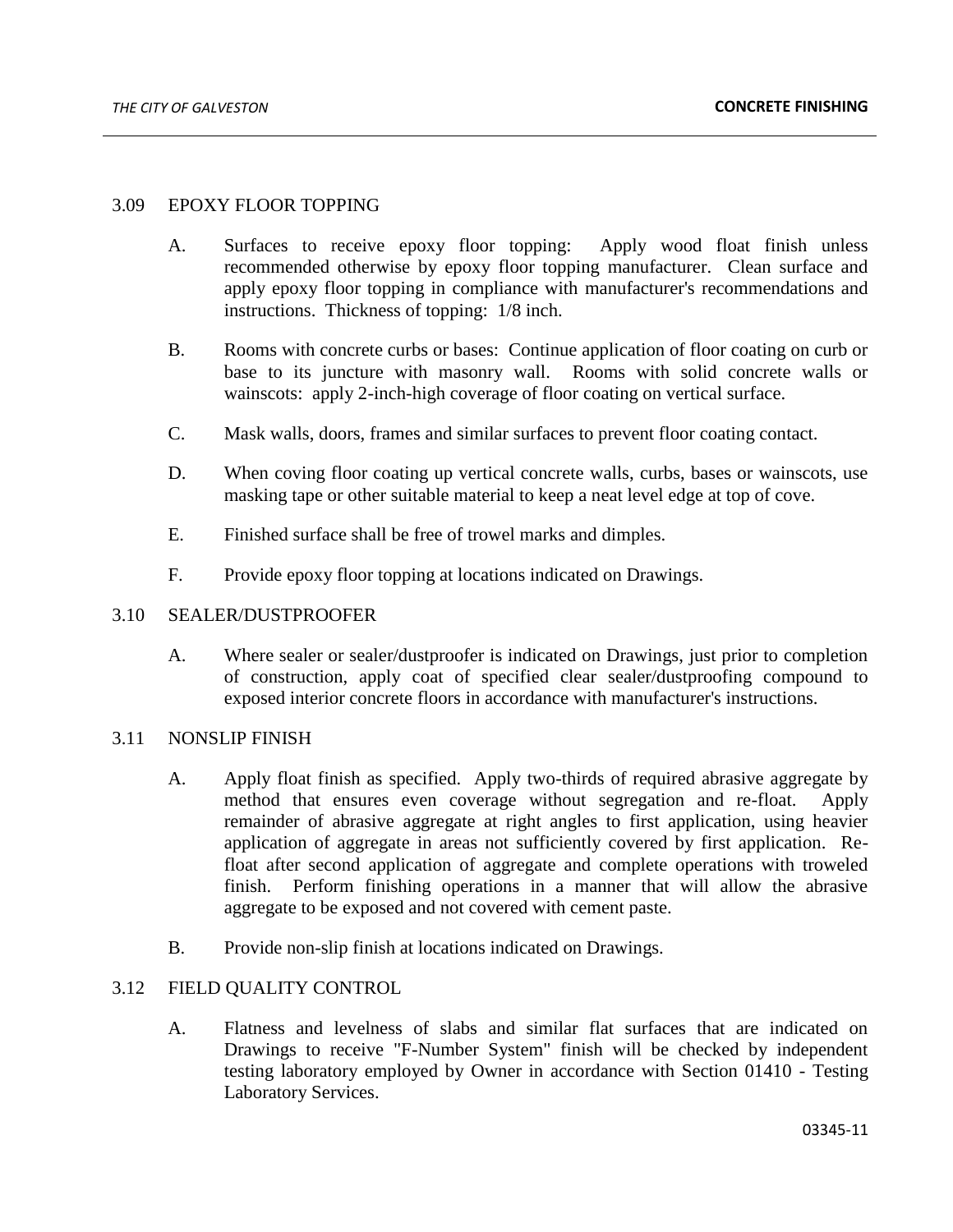## 3.09 EPOXY FLOOR TOPPING

- A. Surfaces to receive epoxy floor topping: Apply wood float finish unless recommended otherwise by epoxy floor topping manufacturer. Clean surface and apply epoxy floor topping in compliance with manufacturer's recommendations and instructions. Thickness of topping: 1/8 inch.
- B. Rooms with concrete curbs or bases: Continue application of floor coating on curb or base to its juncture with masonry wall. Rooms with solid concrete walls or wainscots: apply 2-inch-high coverage of floor coating on vertical surface.
- C. Mask walls, doors, frames and similar surfaces to prevent floor coating contact.
- D. When coving floor coating up vertical concrete walls, curbs, bases or wainscots, use masking tape or other suitable material to keep a neat level edge at top of cove.
- E. Finished surface shall be free of trowel marks and dimples.
- F. Provide epoxy floor topping at locations indicated on Drawings.

## 3.10 SEALER/DUSTPROOFER

A. Where sealer or sealer/dustproofer is indicated on Drawings, just prior to completion of construction, apply coat of specified clear sealer/dustproofing compound to exposed interior concrete floors in accordance with manufacturer's instructions.

### 3.11 NONSLIP FINISH

- A. Apply float finish as specified. Apply two-thirds of required abrasive aggregate by method that ensures even coverage without segregation and re-float. Apply remainder of abrasive aggregate at right angles to first application, using heavier application of aggregate in areas not sufficiently covered by first application. Refloat after second application of aggregate and complete operations with troweled finish. Perform finishing operations in a manner that will allow the abrasive aggregate to be exposed and not covered with cement paste.
- B. Provide non-slip finish at locations indicated on Drawings.

# 3.12 FIELD QUALITY CONTROL

A. Flatness and levelness of slabs and similar flat surfaces that are indicated on Drawings to receive "F-Number System" finish will be checked by independent testing laboratory employed by Owner in accordance with Section 01410 - Testing Laboratory Services.